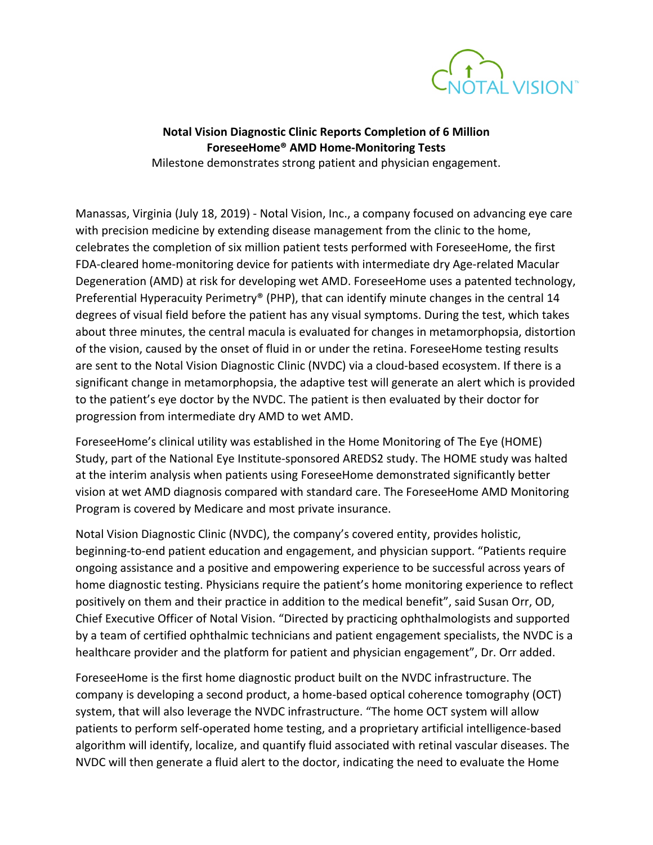

## **Notal Vision Diagnostic Clinic Reports Completion of 6 Million ForeseeHome® AMD Home-Monitoring Tests**

Milestone demonstrates strong patient and physician engagement.

Manassas, Virginia (July 18, 2019) - Notal Vision, Inc., a company focused on advancing eye care with precision medicine by extending disease management from the clinic to the home, celebrates the completion of six million patient tests performed with ForeseeHome, the first FDA-cleared home-monitoring device for patients with intermediate dry Age-related Macular Degeneration (AMD) at risk for developing wet AMD. ForeseeHome uses a patented technology, Preferential Hyperacuity Perimetry® (PHP), that can identify minute changes in the central 14 degrees of visual field before the patient has any visual symptoms. During the test, which takes about three minutes, the central macula is evaluated for changes in metamorphopsia, distortion of the vision, caused by the onset of fluid in or under the retina. ForeseeHome testing results are sent to the Notal Vision Diagnostic Clinic (NVDC) via a cloud-based ecosystem. If there is a significant change in metamorphopsia, the adaptive test will generate an alert which is provided to the patient's eye doctor by the NVDC. The patient is then evaluated by their doctor for progression from intermediate dry AMD to wet AMD.

ForeseeHome's clinical utility was established in the Home Monitoring of The Eye (HOME) Study, part of the National Eye Institute-sponsored AREDS2 study. The HOME study was halted at the interim analysis when patients using ForeseeHome demonstrated significantly better vision at wet AMD diagnosis compared with standard care. The ForeseeHome AMD Monitoring Program is covered by Medicare and most private insurance.

Notal Vision Diagnostic Clinic (NVDC), the company's covered entity, provides holistic, beginning-to-end patient education and engagement, and physician support. "Patients require ongoing assistance and a positive and empowering experience to be successful across years of home diagnostic testing. Physicians require the patient's home monitoring experience to reflect positively on them and their practice in addition to the medical benefit", said Susan Orr, OD, Chief Executive Officer of Notal Vision. "Directed by practicing ophthalmologists and supported by a team of certified ophthalmic technicians and patient engagement specialists, the NVDC is a healthcare provider and the platform for patient and physician engagement", Dr. Orr added.

ForeseeHome is the first home diagnostic product built on the NVDC infrastructure. The company is developing a second product, a home-based optical coherence tomography (OCT) system, that will also leverage the NVDC infrastructure. "The home OCT system will allow patients to perform self-operated home testing, and a proprietary artificial intelligence-based algorithm will identify, localize, and quantify fluid associated with retinal vascular diseases. The NVDC will then generate a fluid alert to the doctor, indicating the need to evaluate the Home